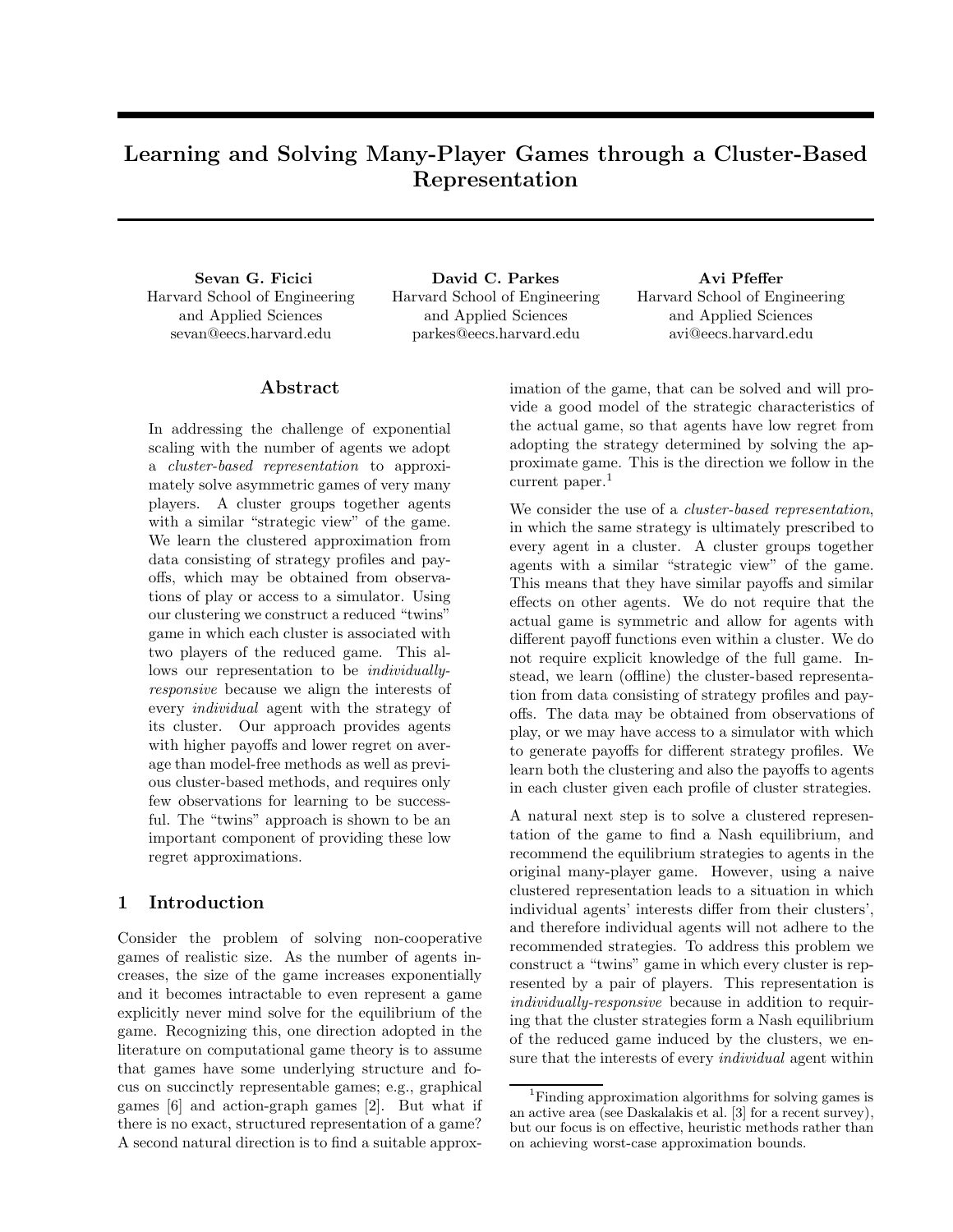# Learning and Solving Many-Player Games through a Cluster-Based Representation

Sevan G. Ficici Harvard School of Engineering and Applied Sciences sevan@eecs.harvard.edu

David C. Parkes Harvard School of Engineering and Applied Sciences parkes@eecs.harvard.edu

Avi Pfeffer Harvard School of Engineering and Applied Sciences avi@eecs.harvard.edu

# Abstract

In addressing the challenge of exponential scaling with the number of agents we adopt a cluster-based representation to approximately solve asymmetric games of very many players. A cluster groups together agents with a similar "strategic view" of the game. We learn the clustered approximation from data consisting of strategy profiles and payoffs, which may be obtained from observations of play or access to a simulator. Using our clustering we construct a reduced "twins" game in which each cluster is associated with two players of the reduced game. This allows our representation to be *individually*responsive because we align the interests of every individual agent with the strategy of its cluster. Our approach provides agents with higher payoffs and lower regret on average than model-free methods as well as previous cluster-based methods, and requires only few observations for learning to be successful. The "twins" approach is shown to be an important component of providing these low regret approximations.

# 1 Introduction

Consider the problem of solving non-cooperative games of realistic size. As the number of agents increases, the size of the game increases exponentially and it becomes intractable to even represent a game explicitly never mind solve for the equilibrium of the game. Recognizing this, one direction adopted in the literature on computational game theory is to assume that games have some underlying structure and focus on succinctly representable games; e.g., graphical games [6] and action-graph games [2]. But what if there is no exact, structured representation of a game? A second natural direction is to find a suitable approximation of the game, that can be solved and will provide a good model of the strategic characteristics of the actual game, so that agents have low regret from adopting the strategy determined by solving the approximate game. This is the direction we follow in the current paper.<sup>1</sup>

We consider the use of a *cluster-based representation*, in which the same strategy is ultimately prescribed to every agent in a cluster. A cluster groups together agents with a similar "strategic view" of the game. This means that they have similar payoffs and similar effects on other agents. We do not require that the actual game is symmetric and allow for agents with different payoff functions even within a cluster. We do not require explicit knowledge of the full game. Instead, we learn (offline) the cluster-based representation from data consisting of strategy profiles and payoffs. The data may be obtained from observations of play, or we may have access to a simulator with which to generate payoffs for different strategy profiles. We learn both the clustering and also the payoffs to agents in each cluster given each profile of cluster strategies.

A natural next step is to solve a clustered representation of the game to find a Nash equilibrium, and recommend the equilibrium strategies to agents in the original many-player game. However, using a naive clustered representation leads to a situation in which individual agents' interests differ from their clusters', and therefore individual agents will not adhere to the recommended strategies. To address this problem we construct a "twins" game in which every cluster is represented by a pair of players. This representation is individually-responsive because in addition to requiring that the cluster strategies form a Nash equilibrium of the reduced game induced by the clusters, we ensure that the interests of every individual agent within

<sup>&</sup>lt;sup>1</sup>Finding approximation algorithms for solving games is an active area (see Daskalakis et al. [3] for a recent survey), but our focus is on effective, heuristic methods rather than on achieving worst-case approximation bounds.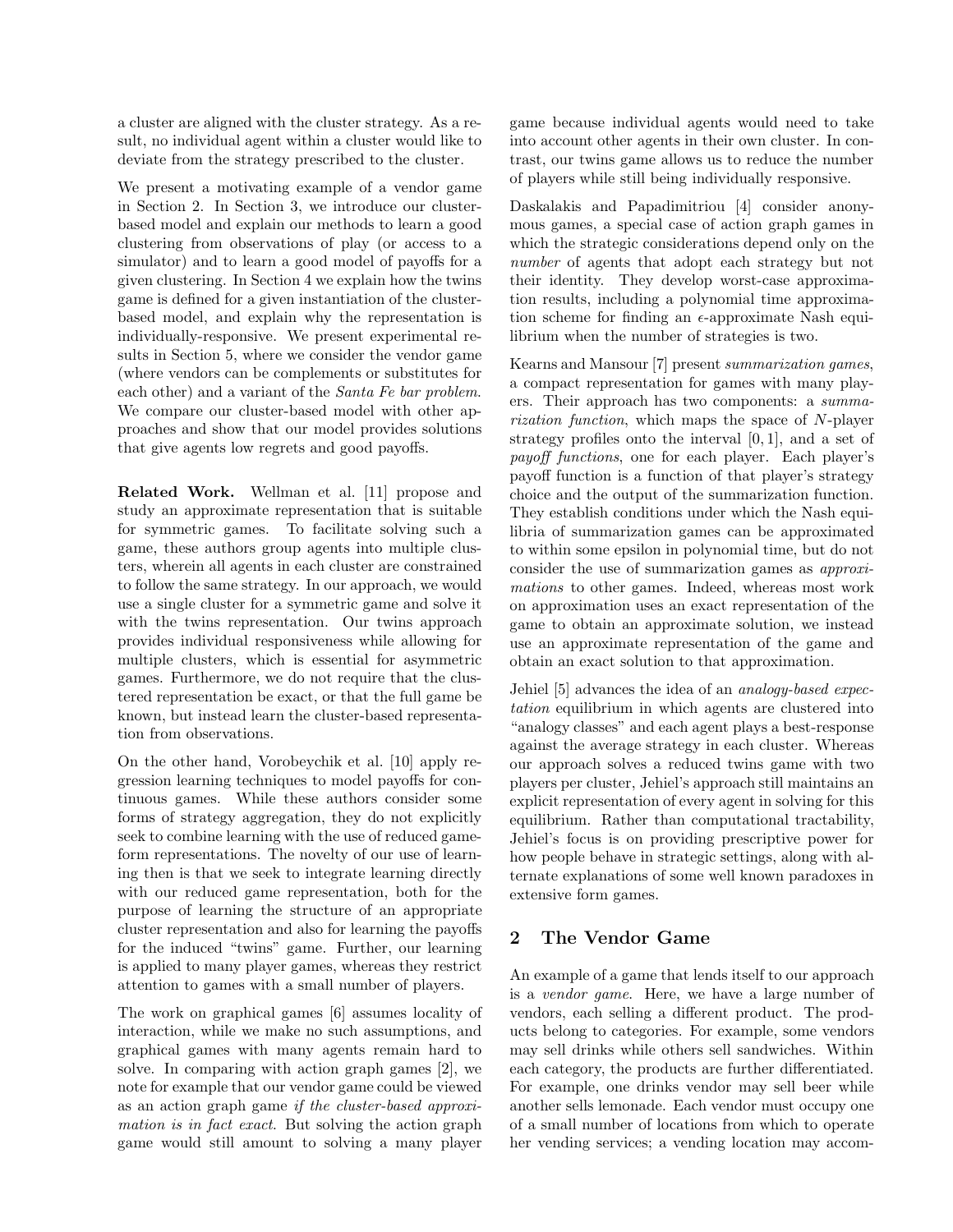a cluster are aligned with the cluster strategy. As a result, no individual agent within a cluster would like to deviate from the strategy prescribed to the cluster.

We present a motivating example of a vendor game in Section 2. In Section 3, we introduce our clusterbased model and explain our methods to learn a good clustering from observations of play (or access to a simulator) and to learn a good model of payoffs for a given clustering. In Section 4 we explain how the twins game is defined for a given instantiation of the clusterbased model, and explain why the representation is individually-responsive. We present experimental results in Section 5, where we consider the vendor game (where vendors can be complements or substitutes for each other) and a variant of the Santa Fe bar problem. We compare our cluster-based model with other approaches and show that our model provides solutions that give agents low regrets and good payoffs.

Related Work. Wellman et al. [11] propose and study an approximate representation that is suitable for symmetric games. To facilitate solving such a game, these authors group agents into multiple clusters, wherein all agents in each cluster are constrained to follow the same strategy. In our approach, we would use a single cluster for a symmetric game and solve it with the twins representation. Our twins approach provides individual responsiveness while allowing for multiple clusters, which is essential for asymmetric games. Furthermore, we do not require that the clustered representation be exact, or that the full game be known, but instead learn the cluster-based representation from observations.

On the other hand, Vorobeychik et al. [10] apply regression learning techniques to model payoffs for continuous games. While these authors consider some forms of strategy aggregation, they do not explicitly seek to combine learning with the use of reduced gameform representations. The novelty of our use of learning then is that we seek to integrate learning directly with our reduced game representation, both for the purpose of learning the structure of an appropriate cluster representation and also for learning the payoffs for the induced "twins" game. Further, our learning is applied to many player games, whereas they restrict attention to games with a small number of players.

The work on graphical games [6] assumes locality of interaction, while we make no such assumptions, and graphical games with many agents remain hard to solve. In comparing with action graph games [2], we note for example that our vendor game could be viewed as an action graph game if the cluster-based approximation is in fact exact. But solving the action graph game would still amount to solving a many player game because individual agents would need to take into account other agents in their own cluster. In contrast, our twins game allows us to reduce the number of players while still being individually responsive.

Daskalakis and Papadimitriou [4] consider anonymous games, a special case of action graph games in which the strategic considerations depend only on the number of agents that adopt each strategy but not their identity. They develop worst-case approximation results, including a polynomial time approximation scheme for finding an  $\epsilon$ -approximate Nash equilibrium when the number of strategies is two.

Kearns and Mansour [7] present summarization games, a compact representation for games with many players. Their approach has two components: a summarization function, which maps the space of N-player strategy profiles onto the interval [0, 1], and a set of payoff functions, one for each player. Each player's payoff function is a function of that player's strategy choice and the output of the summarization function. They establish conditions under which the Nash equilibria of summarization games can be approximated to within some epsilon in polynomial time, but do not consider the use of summarization games as approximations to other games. Indeed, whereas most work on approximation uses an exact representation of the game to obtain an approximate solution, we instead use an approximate representation of the game and obtain an exact solution to that approximation.

Jehiel [5] advances the idea of an analogy-based expectation equilibrium in which agents are clustered into "analogy classes" and each agent plays a best-response against the average strategy in each cluster. Whereas our approach solves a reduced twins game with two players per cluster, Jehiel's approach still maintains an explicit representation of every agent in solving for this equilibrium. Rather than computational tractability, Jehiel's focus is on providing prescriptive power for how people behave in strategic settings, along with alternate explanations of some well known paradoxes in extensive form games.

# 2 The Vendor Game

An example of a game that lends itself to our approach is a vendor game. Here, we have a large number of vendors, each selling a different product. The products belong to categories. For example, some vendors may sell drinks while others sell sandwiches. Within each category, the products are further differentiated. For example, one drinks vendor may sell beer while another sells lemonade. Each vendor must occupy one of a small number of locations from which to operate her vending services; a vending location may accom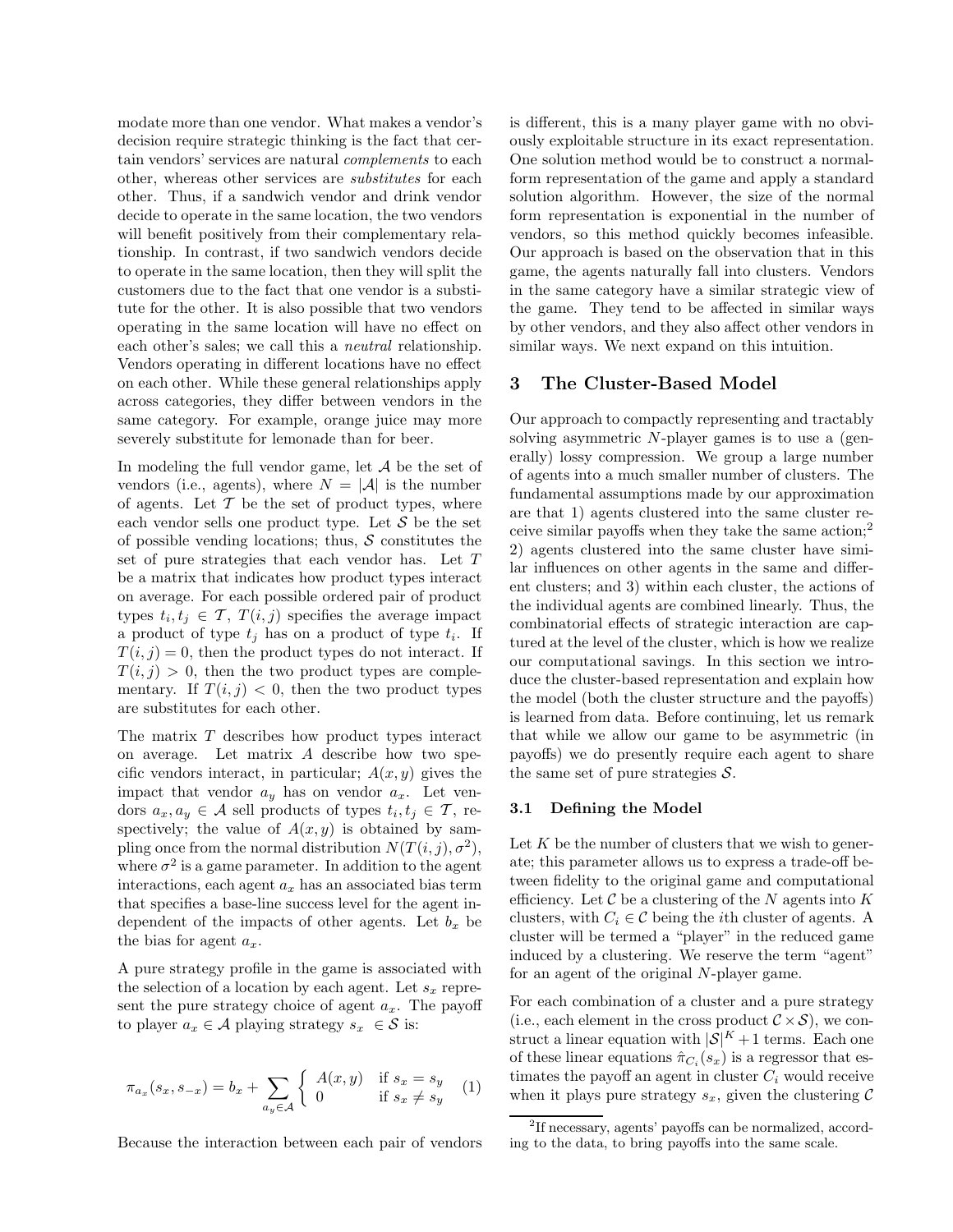modate more than one vendor. What makes a vendor's decision require strategic thinking is the fact that certain vendors' services are natural complements to each other, whereas other services are substitutes for each other. Thus, if a sandwich vendor and drink vendor decide to operate in the same location, the two vendors will benefit positively from their complementary relationship. In contrast, if two sandwich vendors decide to operate in the same location, then they will split the customers due to the fact that one vendor is a substitute for the other. It is also possible that two vendors operating in the same location will have no effect on each other's sales; we call this a neutral relationship. Vendors operating in different locations have no effect on each other. While these general relationships apply across categories, they differ between vendors in the same category. For example, orange juice may more severely substitute for lemonade than for beer.

In modeling the full vendor game, let  $A$  be the set of vendors (i.e., agents), where  $N = |\mathcal{A}|$  is the number of agents. Let  $\mathcal T$  be the set of product types, where each vendor sells one product type. Let  $S$  be the set of possible vending locations; thus,  $\mathcal S$  constitutes the set of pure strategies that each vendor has. Let T be a matrix that indicates how product types interact on average. For each possible ordered pair of product types  $t_i, t_j \in \mathcal{T}, T(i, j)$  specifies the average impact a product of type  $t_j$  has on a product of type  $t_i$ . If  $T(i, j) = 0$ , then the product types do not interact. If  $T(i, j) > 0$ , then the two product types are complementary. If  $T(i, j) < 0$ , then the two product types are substitutes for each other.

The matrix  $T$  describes how product types interact on average. Let matrix A describe how two specific vendors interact, in particular;  $A(x, y)$  gives the impact that vendor  $a_y$  has on vendor  $a_x$ . Let vendors  $a_x, a_y \in \mathcal{A}$  sell products of types  $t_i, t_j \in \mathcal{T}$ , respectively; the value of  $A(x, y)$  is obtained by sampling once from the normal distribution  $N(T(i,j), \sigma^2)$ , where  $\sigma^2$  is a game parameter. In addition to the agent interactions, each agent  $a_x$  has an associated bias term that specifies a base-line success level for the agent independent of the impacts of other agents. Let  $b_x$  be the bias for agent  $a_x$ .

A pure strategy profile in the game is associated with the selection of a location by each agent. Let  $s_x$  represent the pure strategy choice of agent  $a_x$ . The payoff to player  $a_x \in \mathcal{A}$  playing strategy  $s_x \in \mathcal{S}$  is:

$$
\pi_{a_x}(s_x, s_{-x}) = b_x + \sum_{a_y \in \mathcal{A}} \left\{ \begin{array}{ll} A(x, y) & \text{if } s_x = s_y \\ 0 & \text{if } s_x \neq s_y \end{array} \right. \tag{1}
$$

Because the interaction between each pair of vendors

is different, this is a many player game with no obviously exploitable structure in its exact representation. One solution method would be to construct a normalform representation of the game and apply a standard solution algorithm. However, the size of the normal form representation is exponential in the number of vendors, so this method quickly becomes infeasible. Our approach is based on the observation that in this game, the agents naturally fall into clusters. Vendors in the same category have a similar strategic view of the game. They tend to be affected in similar ways by other vendors, and they also affect other vendors in similar ways. We next expand on this intuition.

# 3 The Cluster-Based Model

Our approach to compactly representing and tractably solving asymmetric N-player games is to use a (generally) lossy compression. We group a large number of agents into a much smaller number of clusters. The fundamental assumptions made by our approximation are that 1) agents clustered into the same cluster receive similar payoffs when they take the same action;<sup>2</sup> 2) agents clustered into the same cluster have similar influences on other agents in the same and different clusters; and 3) within each cluster, the actions of the individual agents are combined linearly. Thus, the combinatorial effects of strategic interaction are captured at the level of the cluster, which is how we realize our computational savings. In this section we introduce the cluster-based representation and explain how the model (both the cluster structure and the payoffs) is learned from data. Before continuing, let us remark that while we allow our game to be asymmetric (in payoffs) we do presently require each agent to share the same set of pure strategies  $S$ .

#### 3.1 Defining the Model

Let  $K$  be the number of clusters that we wish to generate; this parameter allows us to express a trade-off between fidelity to the original game and computational efficiency. Let  $\mathcal C$  be a clustering of the N agents into K clusters, with  $C_i \in \mathcal{C}$  being the *i*th cluster of agents. A cluster will be termed a "player" in the reduced game induced by a clustering. We reserve the term "agent" for an agent of the original N-player game.

For each combination of a cluster and a pure strategy (i.e., each element in the cross product  $C \times S$ ), we construct a linear equation with  $|S|^K + 1$  terms. Each one of these linear equations  $\hat{\pi}_{C_i}(s_x)$  is a regressor that estimates the payoff an agent in cluster  $C_i$  would receive when it plays pure strategy  $s_x$ , given the clustering  $\mathcal C$ 

<sup>2</sup> If necessary, agents' payoffs can be normalized, according to the data, to bring payoffs into the same scale.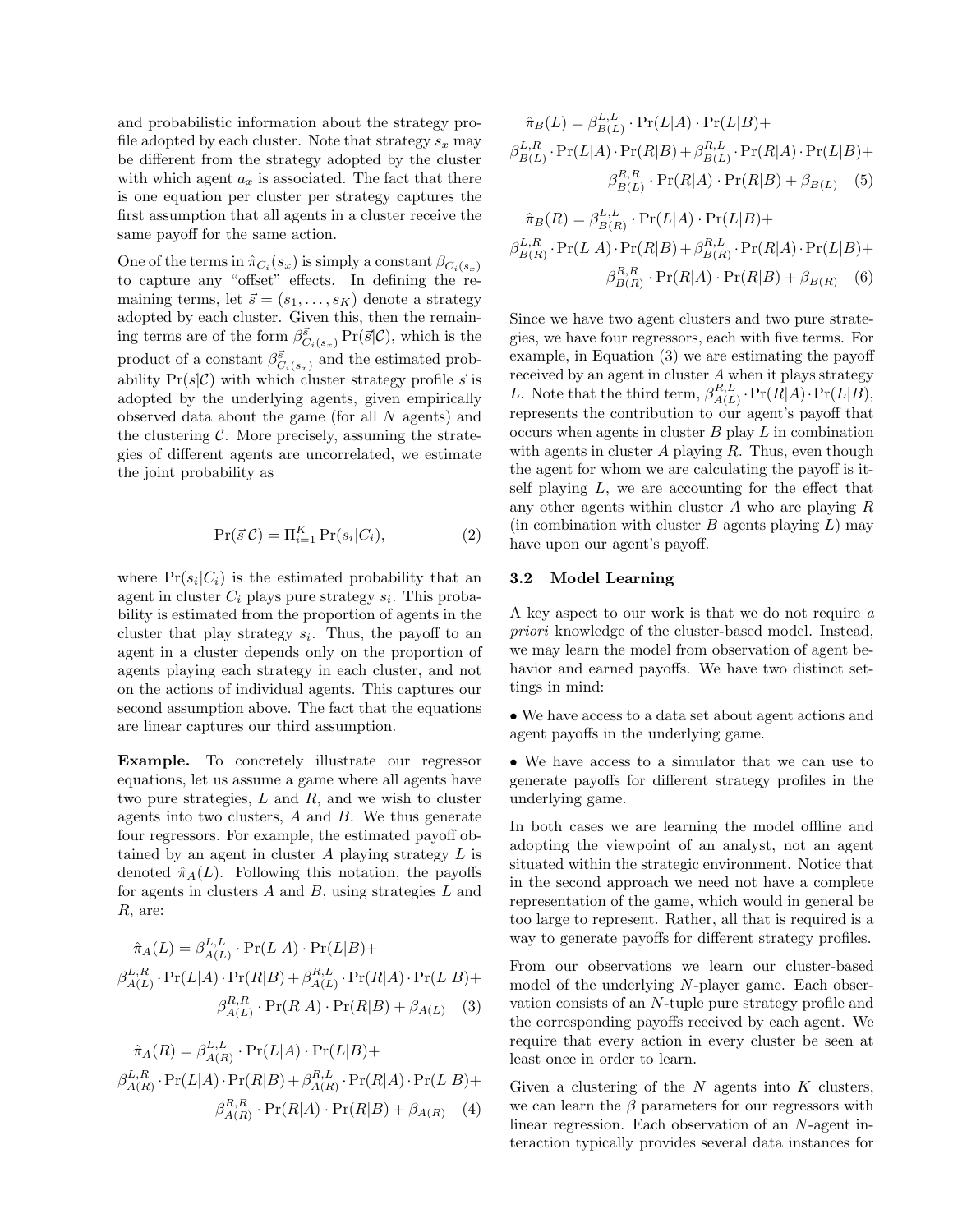and probabilistic information about the strategy profile adopted by each cluster. Note that strategy  $s_x$  may be different from the strategy adopted by the cluster with which agent  $a_x$  is associated. The fact that there is one equation per cluster per strategy captures the first assumption that all agents in a cluster receive the same payoff for the same action.

One of the terms in  $\hat{\pi}_{C_i}(s_x)$  is simply a constant  $\beta_{C_i(s_x)}$ to capture any "offset" effects. In defining the remaining terms, let  $\vec{s} = (s_1, \ldots, s_K)$  denote a strategy adopted by each cluster. Given this, then the remaining terms are of the form  $\beta_{C_i(s_x)}^{\vec{s}}$  Pr( $\vec{s}|\mathcal{C}$ ), which is the product of a constant  $\beta^{\vec{s}}_{C_i(s_x)}$  and the estimated probability  $Pr(\vec{s}|\mathcal{C})$  with which cluster strategy profile  $\vec{s}$  is adopted by the underlying agents, given empirically observed data about the game (for all N agents) and the clustering  $C$ . More precisely, assuming the strategies of different agents are uncorrelated, we estimate the joint probability as

$$
\Pr(\vec{s}|\mathcal{C}) = \Pi_{i=1}^{K} \Pr(s_i|C_i),\tag{2}
$$

where  $Pr(s_i|C_i)$  is the estimated probability that an agent in cluster  $C_i$  plays pure strategy  $s_i$ . This probability is estimated from the proportion of agents in the cluster that play strategy  $s_i$ . Thus, the payoff to an agent in a cluster depends only on the proportion of agents playing each strategy in each cluster, and not on the actions of individual agents. This captures our second assumption above. The fact that the equations are linear captures our third assumption.

Example. To concretely illustrate our regressor equations, let us assume a game where all agents have two pure strategies,  $L$  and  $R$ , and we wish to cluster agents into two clusters,  $A$  and  $B$ . We thus generate four regressors. For example, the estimated payoff obtained by an agent in cluster  $A$  playing strategy  $L$  is denoted  $\hat{\pi}_A(L)$ . Following this notation, the payoffs for agents in clusters  $A$  and  $B$ , using strategies  $L$  and R, are:

$$
\hat{\pi}_A(L) = \beta_{A(L)}^{L,L} \cdot \Pr(L|A) \cdot \Pr(L|B) +
$$
  
\n
$$
\beta_{A(L)}^{L,R} \cdot \Pr(L|A) \cdot \Pr(R|B) + \beta_{A(L)}^{R,L} \cdot \Pr(R|A) \cdot \Pr(L|B) +
$$
  
\n
$$
\beta_{A(L)}^{R,R} \cdot \Pr(R|A) \cdot \Pr(R|B) + \beta_{A(L)} \quad (3)
$$

$$
\hat{\pi}_A(R) = \beta_{A(R)}^{L,L} \cdot \Pr(L|A) \cdot \Pr(L|B) +
$$
  
\n
$$
\beta_{A(R)}^{L,R} \cdot \Pr(L|A) \cdot \Pr(R|B) + \beta_{A(R)}^{R,L} \cdot \Pr(R|A) \cdot \Pr(L|B) +
$$
  
\n
$$
\beta_{A(R)}^{R,R} \cdot \Pr(R|A) \cdot \Pr(R|B) + \beta_{A(R)} \quad (4)
$$

$$
\hat{\pi}_B(L) = \beta_{B(L)}^{L,L} \cdot \Pr(L|A) \cdot \Pr(L|B) +
$$

$$
\beta_{B(L)}^{L,R} \cdot \Pr(L|A) \cdot \Pr(R|B) + \beta_{B(L)}^{R,L} \cdot \Pr(R|A) \cdot \Pr(L|B) +
$$

$$
\beta_{B(L)}^{R,R} \cdot \Pr(R|A) \cdot \Pr(R|B) + \beta_{B(L)} \quad (5)
$$

$$
\hat{\pi}_B(R) = \beta_{B(R)}^{L,L} \cdot \Pr(L|A) \cdot \Pr(L|B) +
$$
  
\n
$$
\beta_{B(R)}^{L,R} \cdot \Pr(L|A) \cdot \Pr(R|B) + \beta_{B(R)}^{R,L} \cdot \Pr(R|A) \cdot \Pr(L|B) +
$$
  
\n
$$
\beta_{B(R)}^{R,R} \cdot \Pr(R|A) \cdot \Pr(R|B) + \beta_{B(R)} \quad (6)
$$

Since we have two agent clusters and two pure strategies, we have four regressors, each with five terms. For example, in Equation (3) we are estimating the payoff received by an agent in cluster A when it plays strategy L. Note that the third term,  $\beta_{A(L)}^{R,L}$  $\Gamma^{R,L}_{A(L)}\cdot \Pr(R|A)\cdot \Pr(L|B),$ represents the contribution to our agent's payoff that occurs when agents in cluster  $B$  play  $L$  in combination with agents in cluster  $A$  playing  $R$ . Thus, even though the agent for whom we are calculating the payoff is itself playing  $L$ , we are accounting for the effect that any other agents within cluster  $A$  who are playing  $R$ (in combination with cluster  $B$  agents playing  $L$ ) may have upon our agent's payoff.

#### 3.2 Model Learning

A key aspect to our work is that we do not require a priori knowledge of the cluster-based model. Instead, we may learn the model from observation of agent behavior and earned payoffs. We have two distinct settings in mind:

• We have access to a data set about agent actions and agent payoffs in the underlying game.

• We have access to a simulator that we can use to generate payoffs for different strategy profiles in the underlying game.

In both cases we are learning the model offline and adopting the viewpoint of an analyst, not an agent situated within the strategic environment. Notice that in the second approach we need not have a complete representation of the game, which would in general be too large to represent. Rather, all that is required is a way to generate payoffs for different strategy profiles.

From our observations we learn our cluster-based model of the underlying N-player game. Each observation consists of an N-tuple pure strategy profile and the corresponding payoffs received by each agent. We require that every action in every cluster be seen at least once in order to learn.

Given a clustering of the  $N$  agents into  $K$  clusters, we can learn the  $\beta$  parameters for our regressors with linear regression. Each observation of an N-agent interaction typically provides several data instances for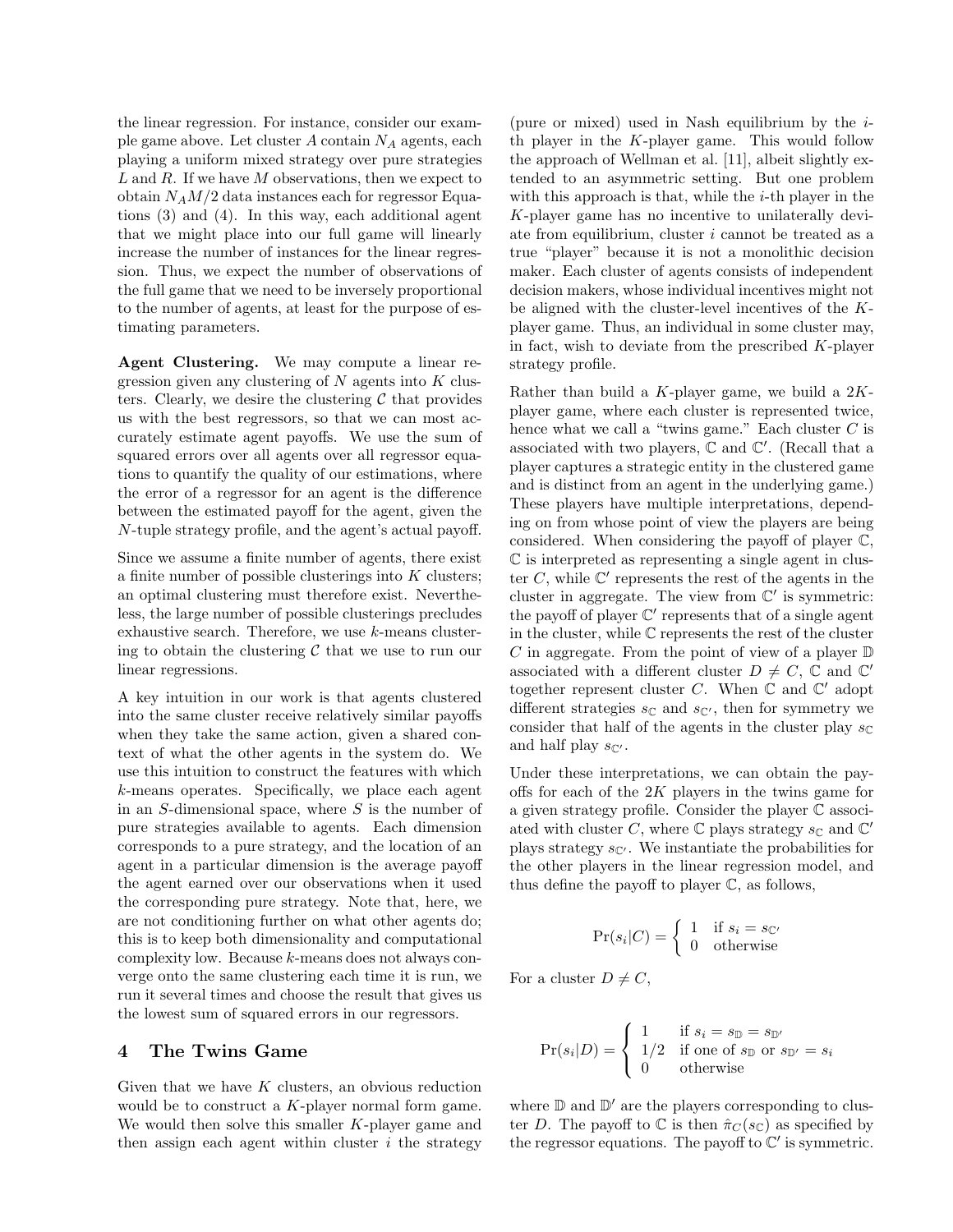the linear regression. For instance, consider our example game above. Let cluster  $A$  contain  $N_A$  agents, each playing a uniform mixed strategy over pure strategies  $L$  and  $R$ . If we have  $M$  observations, then we expect to obtain  $N_A M/2$  data instances each for regressor Equations (3) and (4). In this way, each additional agent that we might place into our full game will linearly increase the number of instances for the linear regression. Thus, we expect the number of observations of the full game that we need to be inversely proportional to the number of agents, at least for the purpose of estimating parameters.

Agent Clustering. We may compute a linear regression given any clustering of  $N$  agents into  $K$  clusters. Clearly, we desire the clustering  $\mathcal C$  that provides us with the best regressors, so that we can most accurately estimate agent payoffs. We use the sum of squared errors over all agents over all regressor equations to quantify the quality of our estimations, where the error of a regressor for an agent is the difference between the estimated payoff for the agent, given the N-tuple strategy profile, and the agent's actual payoff.

Since we assume a finite number of agents, there exist a finite number of possible clusterings into  $K$  clusters; an optimal clustering must therefore exist. Nevertheless, the large number of possible clusterings precludes exhaustive search. Therefore, we use k-means clustering to obtain the clustering  $\mathcal C$  that we use to run our linear regressions.

A key intuition in our work is that agents clustered into the same cluster receive relatively similar payoffs when they take the same action, given a shared context of what the other agents in the system do. We use this intuition to construct the features with which k-means operates. Specifically, we place each agent in an  $S$ -dimensional space, where  $S$  is the number of pure strategies available to agents. Each dimension corresponds to a pure strategy, and the location of an agent in a particular dimension is the average payoff the agent earned over our observations when it used the corresponding pure strategy. Note that, here, we are not conditioning further on what other agents do; this is to keep both dimensionality and computational complexity low. Because k-means does not always converge onto the same clustering each time it is run, we run it several times and choose the result that gives us the lowest sum of squared errors in our regressors.

# 4 The Twins Game

Given that we have  $K$  clusters, an obvious reduction would be to construct a K-player normal form game. We would then solve this smaller K-player game and then assign each agent within cluster  $i$  the strategy

(pure or mixed) used in Nash equilibrium by the  $i$ th player in the  $K$ -player game. This would follow the approach of Wellman et al. [11], albeit slightly extended to an asymmetric setting. But one problem with this approach is that, while the  $i$ -th player in the K-player game has no incentive to unilaterally deviate from equilibrium, cluster i cannot be treated as a true "player" because it is not a monolithic decision maker. Each cluster of agents consists of independent decision makers, whose individual incentives might not be aligned with the cluster-level incentives of the Kplayer game. Thus, an individual in some cluster may, in fact, wish to deviate from the prescribed  $K$ -player strategy profile.

Rather than build a  $K$ -player game, we build a  $2K$ player game, where each cluster is represented twice, hence what we call a "twins game." Each cluster  $C$  is associated with two players,  $\mathbb C$  and  $\mathbb C'$ . (Recall that a player captures a strategic entity in the clustered game and is distinct from an agent in the underlying game.) These players have multiple interpretations, depending on from whose point of view the players are being considered. When considering the payoff of player C, C is interpreted as representing a single agent in cluster  $C$ , while  $\mathbb{C}'$  represents the rest of the agents in the cluster in aggregate. The view from  $\mathbb{C}'$  is symmetric: the payoff of player  $\mathbb{C}'$  represents that of a single agent in the cluster, while  $\mathbb C$  represents the rest of the cluster C in aggregate. From the point of view of a player  $\mathbb D$ associated with a different cluster  $D \neq C$ ,  $\mathbb C$  and  $\mathbb C'$ together represent cluster C. When  $\mathbb C$  and  $\mathbb C'$  adopt different strategies  $s_{\mathbb{C}}$  and  $s_{\mathbb{C}}$ , then for symmetry we consider that half of the agents in the cluster play  $s_{\mathbb{C}}$ and half play  $s_{\mathbb{C}'}$ .

Under these interpretations, we can obtain the payoffs for each of the  $2K$  players in the twins game for a given strategy profile. Consider the player C associated with cluster C, where  $\mathbb C$  plays strategy  $s_{\mathbb C}$  and  $\mathbb C'$ plays strategy  $s_{\mathbb{C}'}$ . We instantiate the probabilities for the other players in the linear regression model, and thus define the payoff to player C, as follows,

$$
Pr(s_i|C) = \begin{cases} 1 & \text{if } s_i = s_{\mathbb{C}'}\\ 0 & \text{otherwise} \end{cases}
$$

For a cluster  $D \neq C$ ,

$$
Pr(s_i|D) = \begin{cases} 1 & \text{if } s_i = s_{\mathbb{D}} = s_{\mathbb{D}'} \\ 1/2 & \text{if one of } s_{\mathbb{D}} \text{ or } s_{\mathbb{D}'} = s_i \\ 0 & \text{otherwise} \end{cases}
$$

where  $\mathbb D$  and  $\mathbb D'$  are the players corresponding to cluster D. The payoff to C is then  $\hat{\pi}_C(s_{\mathbb{C}})$  as specified by the regressor equations. The payoff to  $\mathbb{C}'$  is symmetric.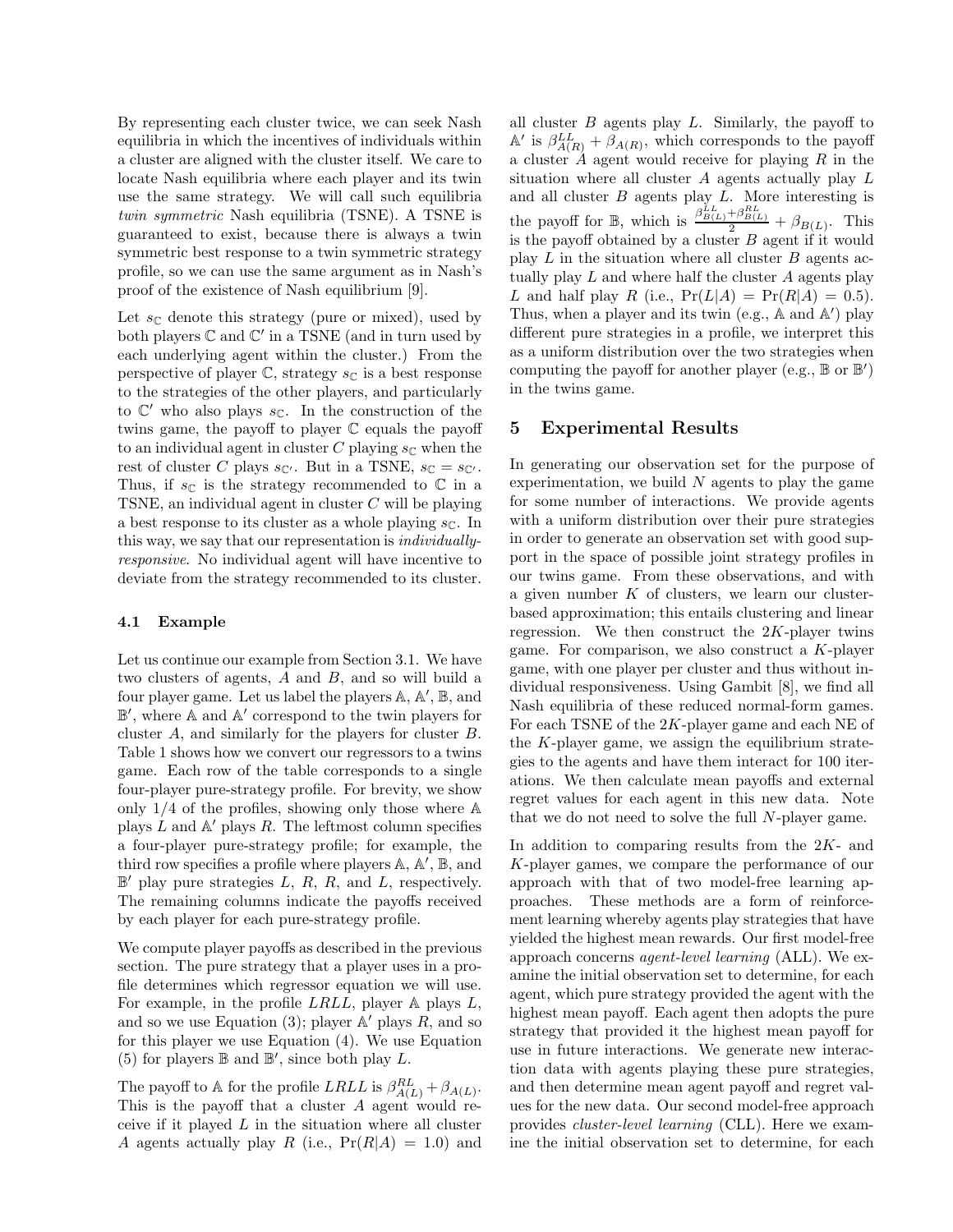By representing each cluster twice, we can seek Nash equilibria in which the incentives of individuals within a cluster are aligned with the cluster itself. We care to locate Nash equilibria where each player and its twin use the same strategy. We will call such equilibria twin symmetric Nash equilibria (TSNE). A TSNE is guaranteed to exist, because there is always a twin symmetric best response to a twin symmetric strategy profile, so we can use the same argument as in Nash's proof of the existence of Nash equilibrium [9].

Let  $s_{\mathbb{C}}$  denote this strategy (pure or mixed), used by both players  $\mathbb C$  and  $\mathbb C'$  in a TSNE (and in turn used by each underlying agent within the cluster.) From the perspective of player  $\mathbb{C}$ , strategy  $s_{\mathbb{C}}$  is a best response to the strategies of the other players, and particularly to  $\mathbb{C}'$  who also plays  $s_{\mathbb{C}}$ . In the construction of the twins game, the payoff to player C equals the payoff to an individual agent in cluster C playing  $s_{\mathbb{C}}$  when the rest of cluster C plays  $s_{\mathbb{C}}$ . But in a TSNE,  $s_{\mathbb{C}} = s_{\mathbb{C}}$ . Thus, if  $s_{\mathbb{C}}$  is the strategy recommended to  $\mathbb{C}$  in a TSNE, an individual agent in cluster  $C$  will be playing a best response to its cluster as a whole playing  $s_{\mathbb{C}}$ . In this way, we say that our representation is individuallyresponsive. No individual agent will have incentive to deviate from the strategy recommended to its cluster.

#### 4.1 Example

Let us continue our example from Section 3.1. We have two clusters of agents, A and B, and so will build a four player game. Let us label the players  $\mathbb{A}, \mathbb{A}', \mathbb{B}$ , and B ′ , where A and A ′ correspond to the twin players for cluster A, and similarly for the players for cluster B. Table 1 shows how we convert our regressors to a twins game. Each row of the table corresponds to a single four-player pure-strategy profile. For brevity, we show only  $1/4$  of the profiles, showing only those where  $\mathbb A$ plays  $\tilde{L}$  and  $\mathbb{A}'$  plays  $R$ . The leftmost column specifies a four-player pure-strategy profile; for example, the third row specifies a profile where players  $\mathbb{A}, \mathbb{A}', \mathbb{B}$ , and  $\mathbb{B}'$  play pure strategies L, R, R, and L, respectively. The remaining columns indicate the payoffs received by each player for each pure-strategy profile.

We compute player payoffs as described in the previous section. The pure strategy that a player uses in a profile determines which regressor equation we will use. For example, in the profile  $LRLL$ , player  $\mathbb A$  plays  $L$ , and so we use Equation (3); player  $\mathbb{A}'$  plays  $R$ , and so for this player we use Equation (4). We use Equation (5) for players  $\mathbb B$  and  $\mathbb B'$ , since both play L.

The payoff to A for the profile  $LRLL$  is  $\beta_{A(L)}^{RL} + \beta_{A(L)}$ . This is the payoff that a cluster  $A$  agent would receive if it played  $L$  in the situation where all cluster A agents actually play R (i.e.,  $Pr(R|A) = 1.0$ ) and

all cluster  $B$  agents play  $L$ . Similarly, the payoff to  $A'$  is  $\beta_{A(R)}^{LL} + \beta_{A(R)}$ , which corresponds to the payoff a cluster  $\hat{A}$  agent would receive for playing  $R$  in the situation where all cluster  $A$  agents actually play  $L$ and all cluster B agents play L. More interesting is the payoff for  $\mathbb{B}$ , which is  $\frac{\beta_{B(L)}^{LL} + \beta_{B(L)}^{RL}}{2} + \beta_{B(L)}$ . This is the payoff obtained by a cluster B agent if it would play  $L$  in the situation where all cluster  $B$  agents actually play  $L$  and where half the cluster  $A$  agents play L and half play R (i.e.,  $Pr(L|A) = Pr(R|A) = 0.5$ ). Thus, when a player and its twin (e.g.,  $\mathbb{A}$  and  $\mathbb{A}'$ ) play different pure strategies in a profile, we interpret this as a uniform distribution over the two strategies when computing the payoff for another player (e.g.,  $\mathbb B$  or  $\mathbb B'$ ) in the twins game.

# 5 Experimental Results

In generating our observation set for the purpose of experimentation, we build  $N$  agents to play the game for some number of interactions. We provide agents with a uniform distribution over their pure strategies in order to generate an observation set with good support in the space of possible joint strategy profiles in our twins game. From these observations, and with a given number  $K$  of clusters, we learn our clusterbased approximation; this entails clustering and linear regression. We then construct the  $2K$ -player twins game. For comparison, we also construct a  $K$ -player game, with one player per cluster and thus without individual responsiveness. Using Gambit [8], we find all Nash equilibria of these reduced normal-form games. For each TSNE of the 2K-player game and each NE of the  $K$ -player game, we assign the equilibrium strategies to the agents and have them interact for 100 iterations. We then calculate mean payoffs and external regret values for each agent in this new data. Note that we do not need to solve the full N-player game.

In addition to comparing results from the  $2K$ - and K-player games, we compare the performance of our approach with that of two model-free learning approaches. These methods are a form of reinforcement learning whereby agents play strategies that have yielded the highest mean rewards. Our first model-free approach concerns agent-level learning (ALL). We examine the initial observation set to determine, for each agent, which pure strategy provided the agent with the highest mean payoff. Each agent then adopts the pure strategy that provided it the highest mean payoff for use in future interactions. We generate new interaction data with agents playing these pure strategies, and then determine mean agent payoff and regret values for the new data. Our second model-free approach provides cluster-level learning (CLL). Here we examine the initial observation set to determine, for each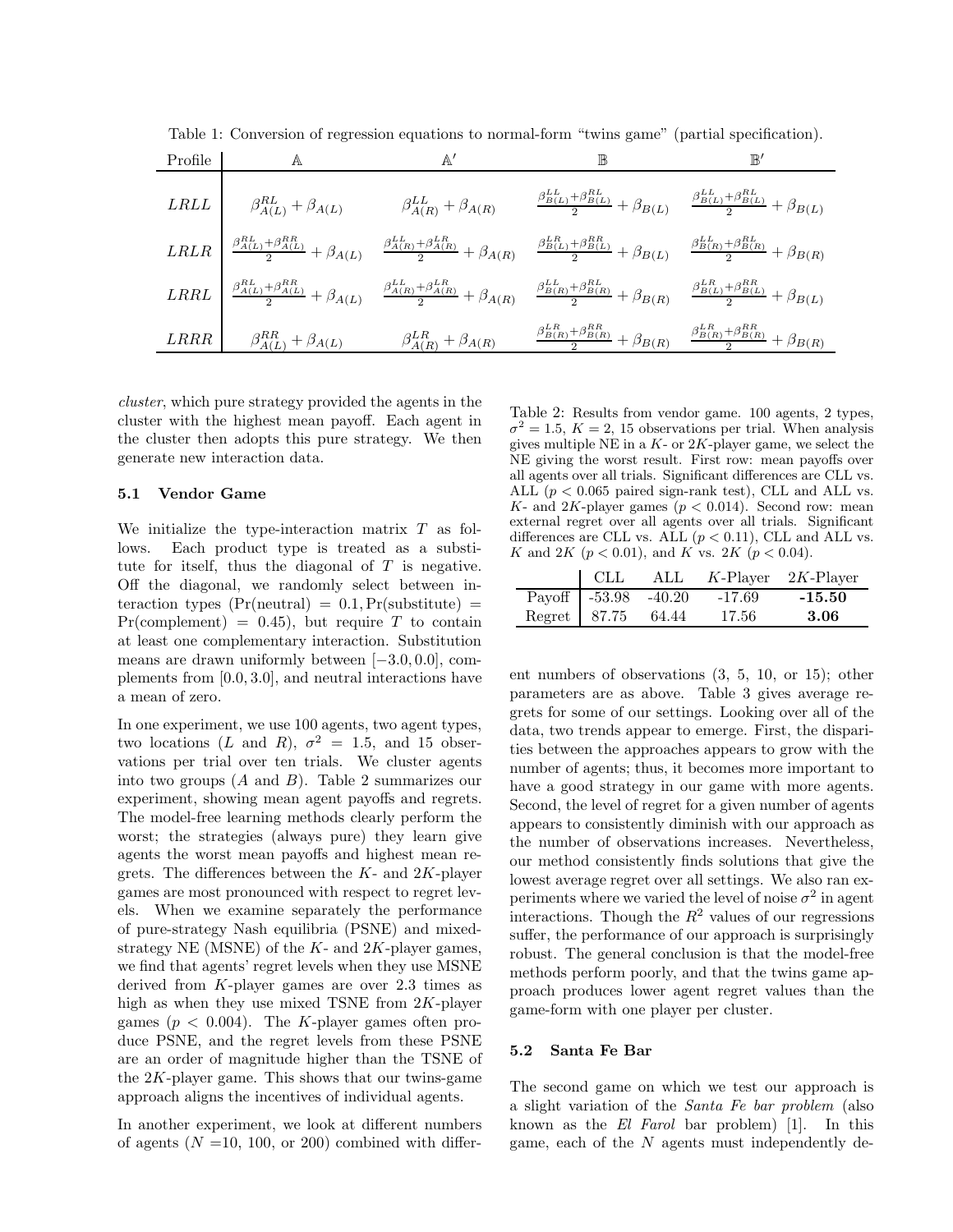| Profile | Α                                                                          |                                    |                                                                                                                                                                                                                                                                                                                                                    | $\mathbb{B}'$ |  |
|---------|----------------------------------------------------------------------------|------------------------------------|----------------------------------------------------------------------------------------------------------------------------------------------------------------------------------------------------------------------------------------------------------------------------------------------------------------------------------------------------|---------------|--|
|         | LRLL $\beta_{A(L)}^{RL} + \beta_{A(L)}$                                    | $\beta_{A(R)}^{LL} + \beta_{A(R)}$ | $\frac{\beta_{B(L)}^{LL} + \beta_{B(L)}^{RL}}{2} + \beta_{B(L)} \frac{\beta_{B(L)}^{LL} + \beta_{B(L)}^{RL}}{2} + \beta_{B(L)}$                                                                                                                                                                                                                    |               |  |
|         |                                                                            |                                    | $\label{eq:RRLR} \begin{array}{l} LRLR \end{array} \left  \begin{array}{cc} \frac{\beta^{RL}_{A(L)}+\beta^{RR}_{A(L)}}{2}+\beta_{A(L)} & \frac{\beta^{LL}_{A(R)}+\beta^{LR}_{A(R)}}{2}+\beta_{A(R)} & \frac{\beta^{LR}_{B(L)}+\beta^{RR}_{B(L)}}{2}+\beta_{B(L)} & \frac{\beta^{LL}_{B(R)}+\beta^{RL}_{B(R)}}{2}+\beta_{B(R)} \end{array} \right.$ |               |  |
|         |                                                                            |                                    | $\label{eq:RRL} \begin{array}{c c c c} LRRL & \frac{\beta^{RL}_{A(L)}+\beta^{RR}_{A(L)}}{2}+\beta_{A(L)} & \frac{\beta^{LL}_{A(R)}+\beta^{LR}_{A(R)}}{2}+\beta_{A(R)} & \frac{\beta^{LL}_{B(R)}+\beta^{RL}_{B(R)}}{2}+\beta_{B(R)} & \frac{\beta^{LR}_{B(L)}+\beta^{RR}_{B(L)}}{2}+\beta_{B(L)} \end{array}$                                       |               |  |
|         | LRRR $\beta_{A(L)}^{RR} + \beta_{A(L)}$ $\beta_{A(R)}^{LR} + \beta_{A(R)}$ |                                    | $\frac{\beta_{B(R)}^{LR} + \beta_{B(R)}^{RR}}{2} + \beta_{B(R)} \frac{\beta_{B(R)}^{LLR} + \beta_{B(R)}^{RR}}{2} + \beta_{B(R)}$                                                                                                                                                                                                                   |               |  |

Table 1: Conversion of regression equations to normal-form "twins game" (partial specification).

cluster, which pure strategy provided the agents in the cluster with the highest mean payoff. Each agent in the cluster then adopts this pure strategy. We then generate new interaction data.

### 5.1 Vendor Game

We initialize the type-interaction matrix  $T$  as follows. Each product type is treated as a substitute for itself, thus the diagonal of  $T$  is negative. Off the diagonal, we randomly select between interaction types  $(Pr(n$ eutral $) = 0.1, Pr$ (substitute) =  $Pr(\text{complement}) = 0.45$ , but require T to contain at least one complementary interaction. Substitution means are drawn uniformly between [−3.0, 0.0], complements from [0.0, 3.0], and neutral interactions have a mean of zero.

In one experiment, we use 100 agents, two agent types, two locations (L and R),  $\sigma^2 = 1.5$ , and 15 observations per trial over ten trials. We cluster agents into two groups  $(A \text{ and } B)$ . Table 2 summarizes our experiment, showing mean agent payoffs and regrets. The model-free learning methods clearly perform the worst; the strategies (always pure) they learn give agents the worst mean payoffs and highest mean regrets. The differences between the  $K$ - and  $2K$ -player games are most pronounced with respect to regret levels. When we examine separately the performance of pure-strategy Nash equilibria (PSNE) and mixedstrategy NE (MSNE) of the  $K$ - and  $2K$ -player games, we find that agents' regret levels when they use MSNE derived from K-player games are over 2.3 times as high as when they use mixed TSNE from  $2K$ -player games ( $p < 0.004$ ). The K-player games often produce PSNE, and the regret levels from these PSNE are an order of magnitude higher than the TSNE of the  $2K$ -player game. This shows that our twins-game approach aligns the incentives of individual agents.

In another experiment, we look at different numbers of agents  $(N = 10, 100, \text{ or } 200)$  combined with differ-

Table 2: Results from vendor game. 100 agents, 2 types,  $\sigma^2 = 1.5, K = 2, 15$  observations per trial. When analysis gives multiple NE in a  $K$ - or  $2K$ -player game, we select the NE giving the worst result. First row: mean payoffs over all agents over all trials. Significant differences are CLL vs. ALL ( $p < 0.065$  paired sign-rank test), CLL and ALL vs. K- and 2K-player games  $(p < 0.014)$ . Second row: mean external regret over all agents over all trials. Significant differences are CLL vs. ALL  $(p < 0.11)$ , CLL and ALL vs. K and 2K ( $p < 0.01$ ), and K vs. 2K ( $p < 0.04$ ).

| CLL                    | $\mathrm{ALL}$ |          | $K$ -Player 2K-Player |
|------------------------|----------------|----------|-----------------------|
| Payoff $-53.98 -40.20$ |                | $-17.69$ | $-15.50$              |
| Regret 87.75 64.44     |                | -17.56   | -3.06                 |

ent numbers of observations (3, 5, 10, or 15); other parameters are as above. Table 3 gives average regrets for some of our settings. Looking over all of the data, two trends appear to emerge. First, the disparities between the approaches appears to grow with the number of agents; thus, it becomes more important to have a good strategy in our game with more agents. Second, the level of regret for a given number of agents appears to consistently diminish with our approach as the number of observations increases. Nevertheless, our method consistently finds solutions that give the lowest average regret over all settings. We also ran experiments where we varied the level of noise  $\sigma^2$  in agent interactions. Though the  $R^2$  values of our regressions suffer, the performance of our approach is surprisingly robust. The general conclusion is that the model-free methods perform poorly, and that the twins game approach produces lower agent regret values than the game-form with one player per cluster.

#### 5.2 Santa Fe Bar

The second game on which we test our approach is a slight variation of the Santa Fe bar problem (also known as the El Farol bar problem) [1]. In this game, each of the  $N$  agents must independently de-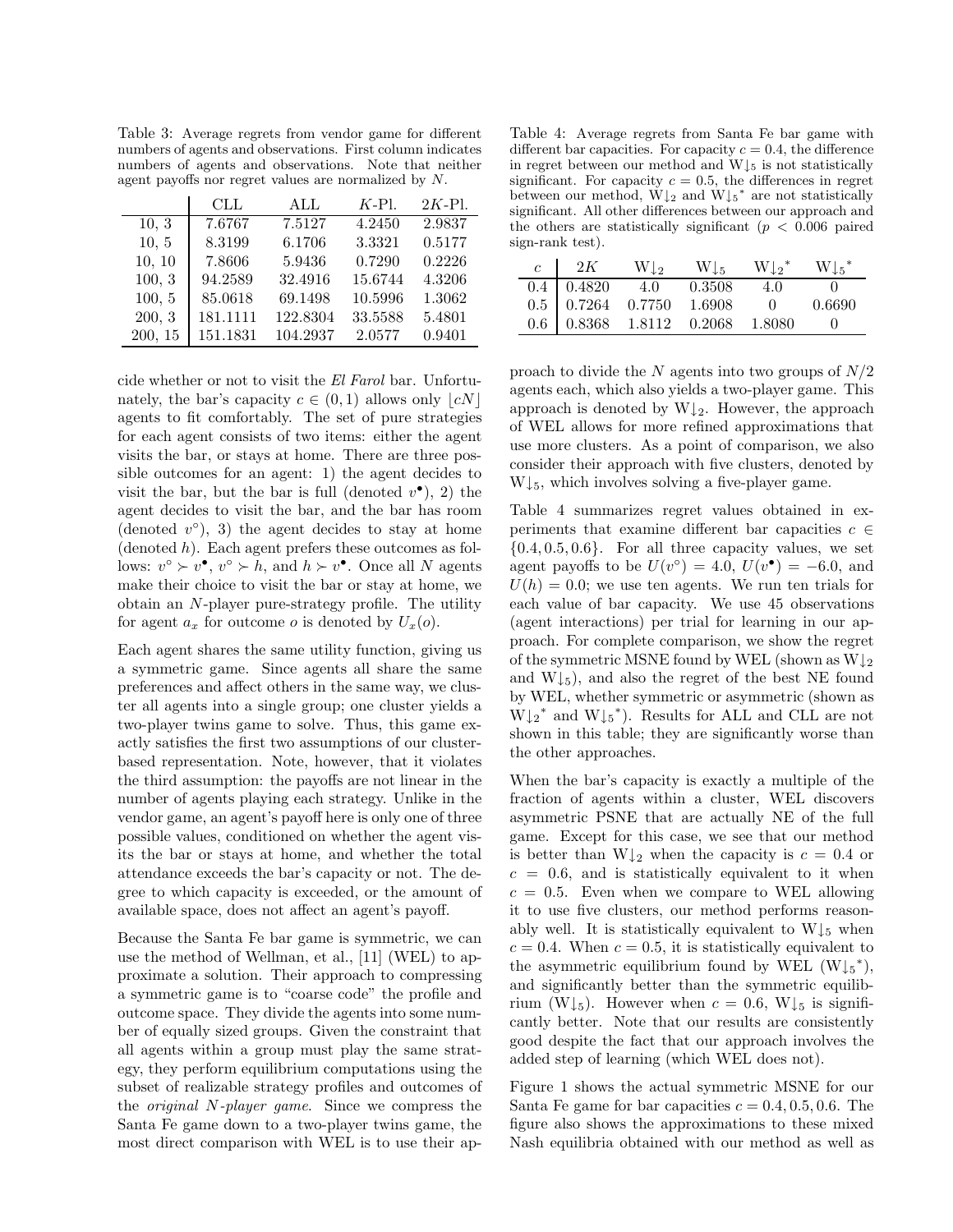Table 3: Average regrets from vendor game for different numbers of agents and observations. First column indicates numbers of agents and observations. Note that neither agent payoffs nor regret values are normalized by N.

|         | CLL      | ALL      | $K-Pl$ . | $2K-$ Pl. |
|---------|----------|----------|----------|-----------|
| 10, 3   | 7.6767   | 7.5127   | 4.2450   | 2.9837    |
| 10, 5   | 8.3199   | 6.1706   | 3.3321   | 0.5177    |
| 10, 10  | 7.8606   | 5.9436   | 0.7290   | 0.2226    |
| 100, 3  | 94.2589  | 32.4916  | 15.6744  | 4.3206    |
| 100, 5  | 85.0618  | 69.1498  | 10.5996  | 1.3062    |
| 200, 3  | 181.1111 | 122.8304 | 33.5588  | 5.4801    |
| 200, 15 | 151.1831 | 104.2937 | 2.0577   | 0.9401    |

cide whether or not to visit the El Farol bar. Unfortunately, the bar's capacity  $c \in (0,1)$  allows only  $|cN|$ agents to fit comfortably. The set of pure strategies for each agent consists of two items: either the agent visits the bar, or stays at home. There are three possible outcomes for an agent: 1) the agent decides to visit the bar, but the bar is full (denoted  $v^{\bullet}$ ), 2) the agent decides to visit the bar, and the bar has room (denoted  $v^{\circ}$ ), 3) the agent decides to stay at home  $(denoted h)$ . Each agent prefers these outcomes as follows:  $v^{\circ} \succ v^{\bullet}$ ,  $v^{\circ} \succ h$ , and  $h \succ v^{\bullet}$ . Once all N agents make their choice to visit the bar or stay at home, we obtain an N-player pure-strategy profile. The utility for agent  $a_x$  for outcome o is denoted by  $U_x(o)$ .

Each agent shares the same utility function, giving us a symmetric game. Since agents all share the same preferences and affect others in the same way, we cluster all agents into a single group; one cluster yields a two-player twins game to solve. Thus, this game exactly satisfies the first two assumptions of our clusterbased representation. Note, however, that it violates the third assumption: the payoffs are not linear in the number of agents playing each strategy. Unlike in the vendor game, an agent's payoff here is only one of three possible values, conditioned on whether the agent visits the bar or stays at home, and whether the total attendance exceeds the bar's capacity or not. The degree to which capacity is exceeded, or the amount of available space, does not affect an agent's payoff.

Because the Santa Fe bar game is symmetric, we can use the method of Wellman, et al., [11] (WEL) to approximate a solution. Their approach to compressing a symmetric game is to "coarse code" the profile and outcome space. They divide the agents into some number of equally sized groups. Given the constraint that all agents within a group must play the same strategy, they perform equilibrium computations using the subset of realizable strategy profiles and outcomes of the original N-player game. Since we compress the Santa Fe game down to a two-player twins game, the most direct comparison with WEL is to use their ap-

Table 4: Average regrets from Santa Fe bar game with different bar capacities. For capacity  $c = 0.4$ , the difference in regret between our method and  $W\downarrow_5$  is not statistically significant. For capacity  $c = 0.5$ , the differences in regret between our method,  $W\downarrow_2$  and  $W\downarrow_5{}^*$  are not statistically significant. All other differences between our approach and the others are statistically significant ( $p < 0.006$  paired sign-rank test).

| $c \mid 2K$ |                                                                                                                                                | $W\downarrow_2$ $W\downarrow_5$ $W\downarrow_2^*$ $W\downarrow_5^*$ |        |
|-------------|------------------------------------------------------------------------------------------------------------------------------------------------|---------------------------------------------------------------------|--------|
|             | $\overline{0.4}$   0.4820 4.0 0.3508 4.0                                                                                                       |                                                                     |        |
|             |                                                                                                                                                |                                                                     | 0.6690 |
|             | $\begin{array}{ c c c c c c } \hline 0.5 & 0.7264 & 0.7750 & 1.6908 & 0 \ \hline 0.6 & 0.8368 & 1.8112 & 0.2068 & 1.8080 \ \hline \end{array}$ |                                                                     |        |

proach to divide the N agents into two groups of  $N/2$ agents each, which also yields a two-player game. This approach is denoted by  $W\downarrow_2$ . However, the approach of WEL allows for more refined approximations that use more clusters. As a point of comparison, we also consider their approach with five clusters, denoted by  $W\downarrow_5$ , which involves solving a five-player game.

Table 4 summarizes regret values obtained in experiments that examine different bar capacities  $c \in \mathcal{C}$  ${0.4, 0.5, 0.6}$ . For all three capacity values, we set agent payoffs to be  $U(v^{\circ}) = 4.0, U(v^{\bullet}) = -6.0$ , and  $U(h) = 0.0$ ; we use ten agents. We run ten trials for each value of bar capacity. We use 45 observations (agent interactions) per trial for learning in our approach. For complete comparison, we show the regret of the symmetric MSNE found by WEL (shown as  $W\downarrow_2$ and  $W\downarrow_5$ ), and also the regret of the best NE found by WEL, whether symmetric or asymmetric (shown as  $W\downarrow_2^*$  and  $W\downarrow_5^*$ ). Results for ALL and CLL are not shown in this table; they are significantly worse than the other approaches.

When the bar's capacity is exactly a multiple of the fraction of agents within a cluster, WEL discovers asymmetric PSNE that are actually NE of the full game. Except for this case, we see that our method is better than  $W\downarrow_2$  when the capacity is  $c = 0.4$  or  $c = 0.6$ , and is statistically equivalent to it when  $c = 0.5$ . Even when we compare to WEL allowing it to use five clusters, our method performs reasonably well. It is statistically equivalent to  $W\downarrow_5$  when  $c = 0.4$ . When  $c = 0.5$ , it is statistically equivalent to the asymmetric equilibrium found by WEL  $(W\downarrow_{5}^*)$ , and significantly better than the symmetric equilibrium (W $\downarrow$ <sub>5</sub>). However when  $c = 0.6$ , W $\downarrow$ <sub>5</sub> is significantly better. Note that our results are consistently good despite the fact that our approach involves the added step of learning (which WEL does not).

Figure 1 shows the actual symmetric MSNE for our Santa Fe game for bar capacities  $c = 0.4, 0.5, 0.6$ . The figure also shows the approximations to these mixed Nash equilibria obtained with our method as well as